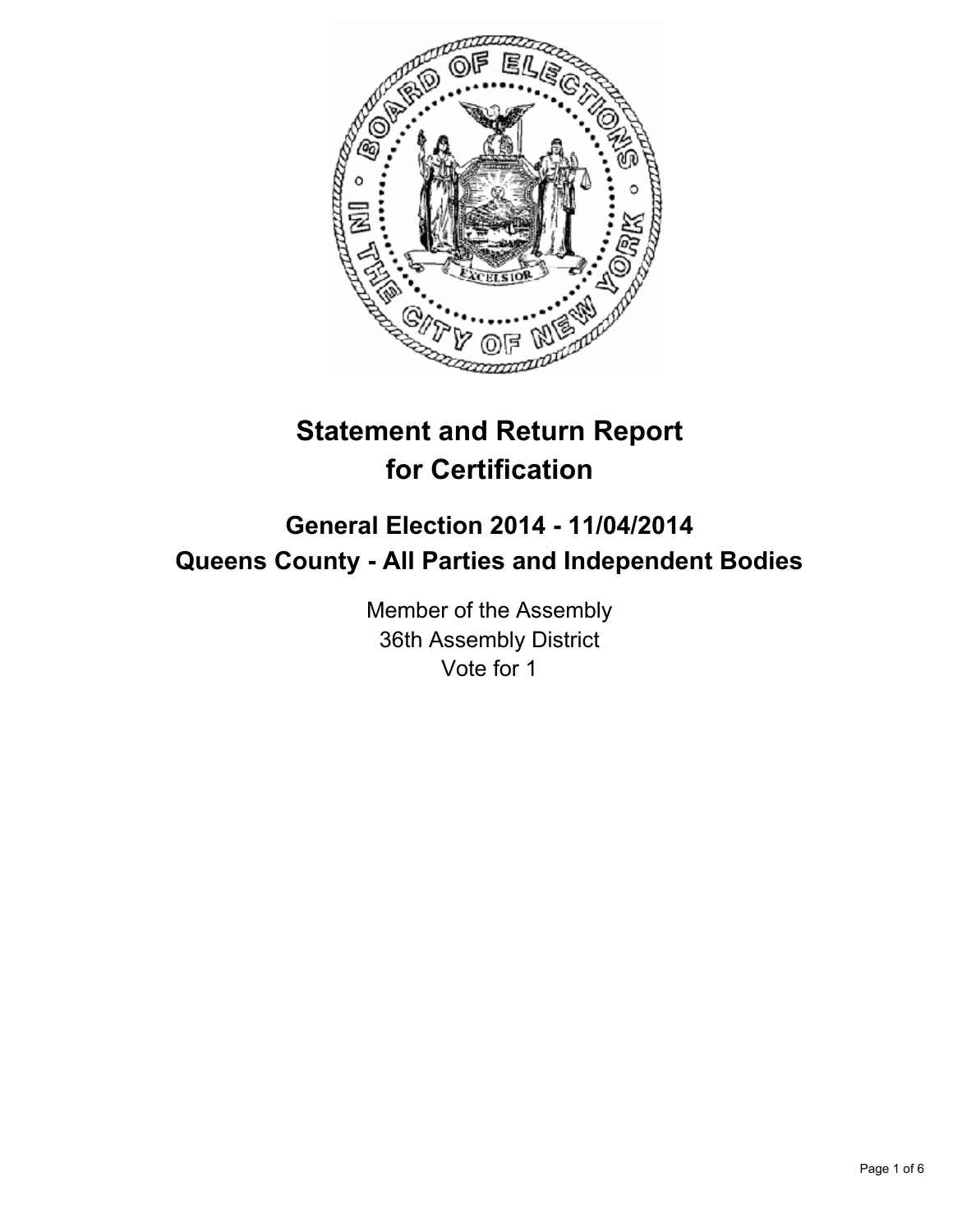

# **Statement and Return Report for Certification**

## **General Election 2014 - 11/04/2014 Queens County - All Parties and Independent Bodies**

Member of the Assembly 36th Assembly District Vote for 1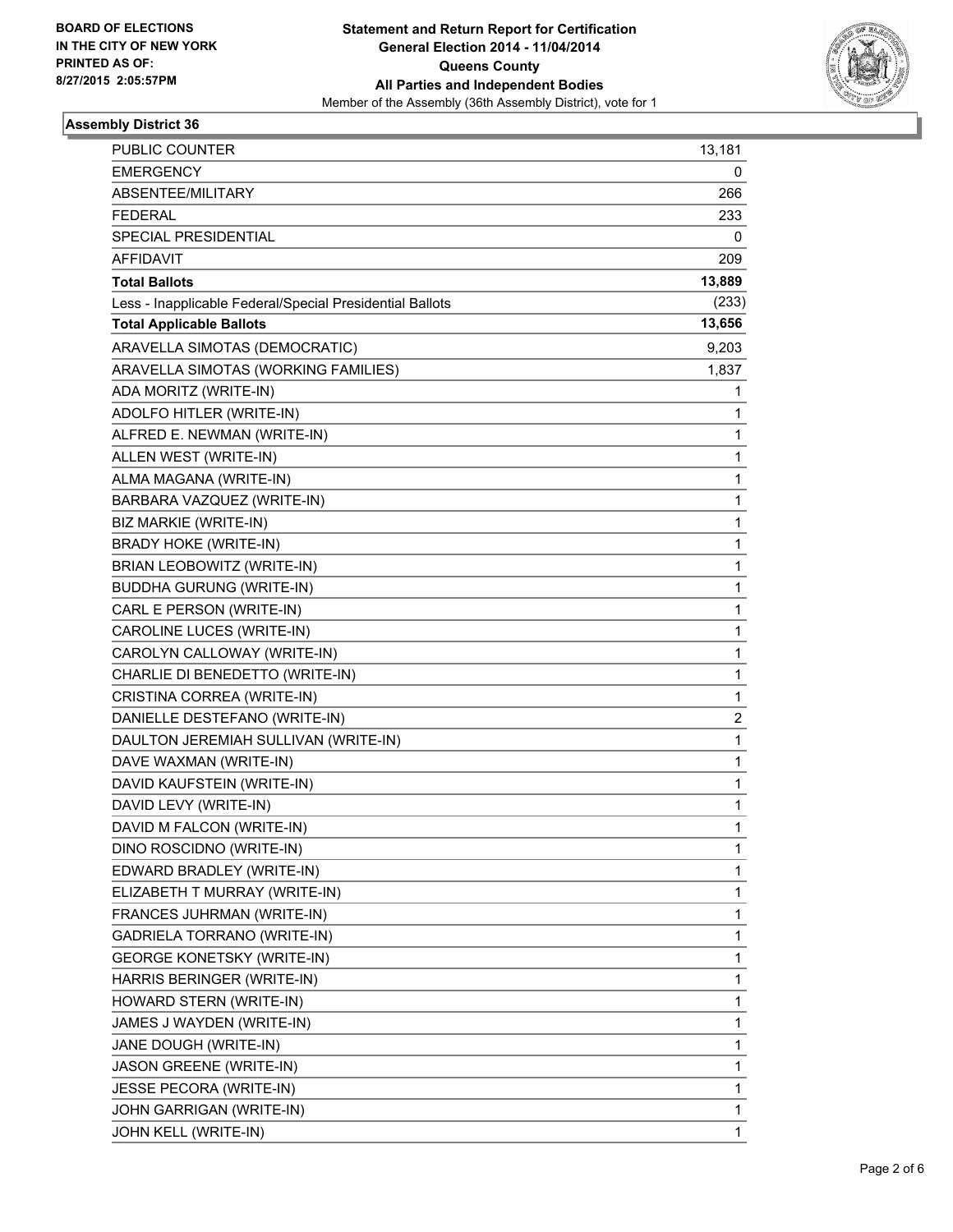

### **Assembly District 36**

| PUBLIC COUNTER                                           | 13,181      |
|----------------------------------------------------------|-------------|
| <b>EMERGENCY</b>                                         | 0           |
| ABSENTEE/MILITARY                                        | 266         |
| <b>FEDERAL</b>                                           | 233         |
| SPECIAL PRESIDENTIAL                                     | 0           |
| AFFIDAVIT                                                | 209         |
| <b>Total Ballots</b>                                     | 13,889      |
| Less - Inapplicable Federal/Special Presidential Ballots | (233)       |
| <b>Total Applicable Ballots</b>                          | 13,656      |
| ARAVELLA SIMOTAS (DEMOCRATIC)                            | 9,203       |
| ARAVELLA SIMOTAS (WORKING FAMILIES)                      | 1,837       |
| ADA MORITZ (WRITE-IN)                                    | 1           |
| ADOLFO HITLER (WRITE-IN)                                 | 1           |
| ALFRED E. NEWMAN (WRITE-IN)                              | 1           |
| ALLEN WEST (WRITE-IN)                                    | $\mathbf 1$ |
| ALMA MAGANA (WRITE-IN)                                   | 1           |
| BARBARA VAZQUEZ (WRITE-IN)                               | 1           |
| BIZ MARKIE (WRITE-IN)                                    | 1           |
| <b>BRADY HOKE (WRITE-IN)</b>                             | 1           |
| <b>BRIAN LEOBOWITZ (WRITE-IN)</b>                        | 1           |
| <b>BUDDHA GURUNG (WRITE-IN)</b>                          | $\mathbf 1$ |
| CARL E PERSON (WRITE-IN)                                 | 1           |
| CAROLINE LUCES (WRITE-IN)                                | 1           |
| CAROLYN CALLOWAY (WRITE-IN)                              | 1           |
| CHARLIE DI BENEDETTO (WRITE-IN)                          | 1           |
| CRISTINA CORREA (WRITE-IN)                               | 1           |
| DANIELLE DESTEFANO (WRITE-IN)                            | 2           |
| DAULTON JEREMIAH SULLIVAN (WRITE-IN)                     | 1           |
| DAVE WAXMAN (WRITE-IN)                                   | 1           |
| DAVID KAUFSTEIN (WRITE-IN)                               | 1           |
| DAVID LEVY (WRITE-IN)                                    | 1           |
| DAVID M FALCON (WRITE-IN)                                | 1           |
| DINO ROSCIDNO (WRITE-IN)                                 | 1           |
| EDWARD BRADLEY (WRITE-IN)                                | 1           |
| ELIZABETH T MURRAY (WRITE-IN)                            | 1           |
| FRANCES JUHRMAN (WRITE-IN)                               | 1           |
| GADRIELA TORRANO (WRITE-IN)                              | 1           |
| <b>GEORGE KONETSKY (WRITE-IN)</b>                        | 1           |
| HARRIS BERINGER (WRITE-IN)                               | 1           |
| HOWARD STERN (WRITE-IN)                                  | 1           |
| JAMES J WAYDEN (WRITE-IN)                                | 1           |
| JANE DOUGH (WRITE-IN)                                    | 1           |
| <b>JASON GREENE (WRITE-IN)</b>                           | 1           |
| JESSE PECORA (WRITE-IN)                                  | 1           |
| JOHN GARRIGAN (WRITE-IN)                                 | 1           |
| JOHN KELL (WRITE-IN)                                     | 1           |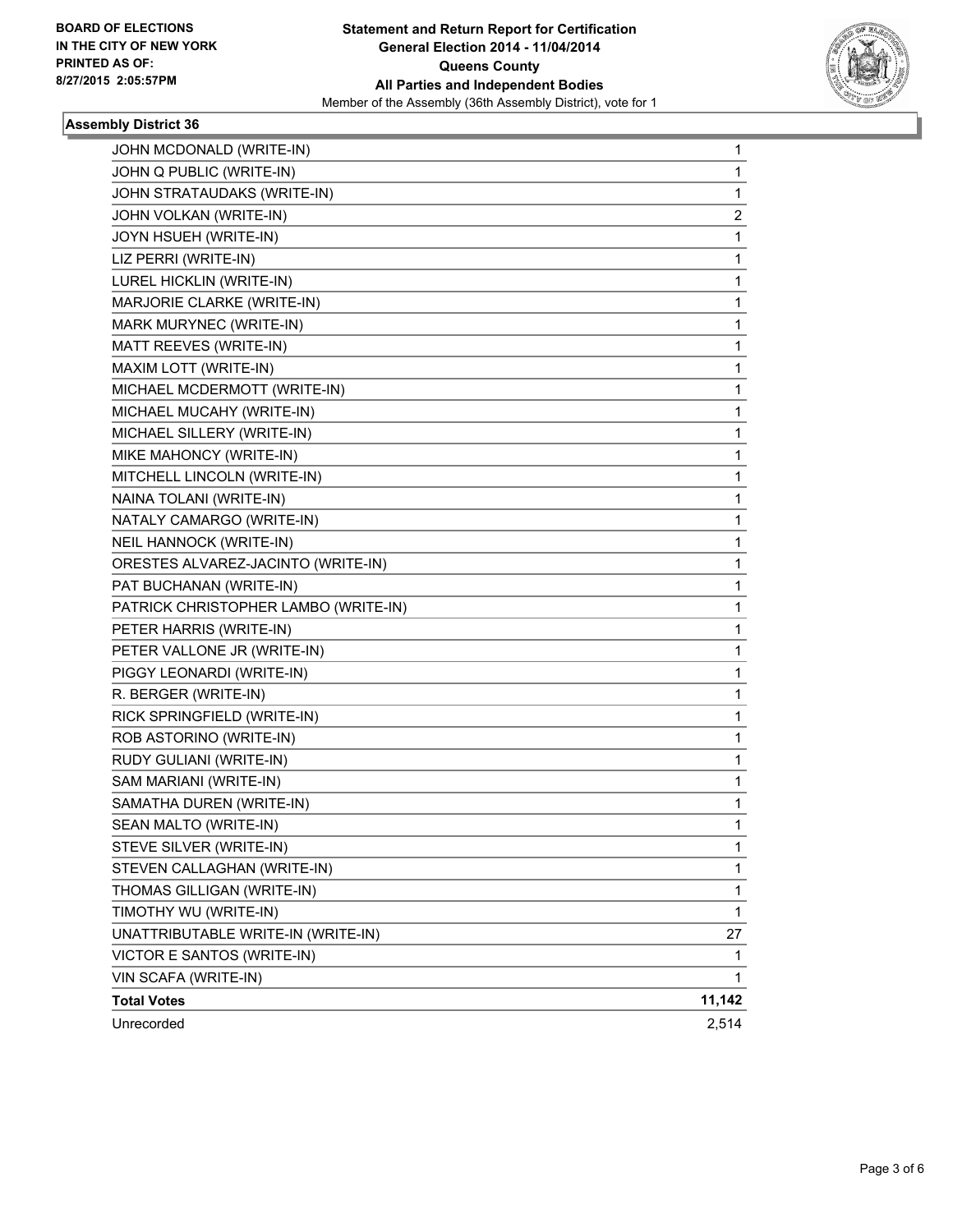

#### **Assembly District 36**

| JOHN MCDONALD (WRITE-IN)             | 1            |
|--------------------------------------|--------------|
| JOHN Q PUBLIC (WRITE-IN)             | 1            |
| JOHN STRATAUDAKS (WRITE-IN)          | 1            |
| JOHN VOLKAN (WRITE-IN)               | 2            |
| JOYN HSUEH (WRITE-IN)                | 1            |
| LIZ PERRI (WRITE-IN)                 | 1            |
| LUREL HICKLIN (WRITE-IN)             | 1            |
| MARJORIE CLARKE (WRITE-IN)           | 1            |
| MARK MURYNEC (WRITE-IN)              | 1            |
| MATT REEVES (WRITE-IN)               | $\mathbf{1}$ |
| MAXIM LOTT (WRITE-IN)                | 1            |
| MICHAEL MCDERMOTT (WRITE-IN)         | 1            |
| MICHAEL MUCAHY (WRITE-IN)            | 1            |
| MICHAEL SILLERY (WRITE-IN)           | 1            |
| MIKE MAHONCY (WRITE-IN)              | 1            |
| MITCHELL LINCOLN (WRITE-IN)          | $\mathbf{1}$ |
| NAINA TOLANI (WRITE-IN)              | 1            |
| NATALY CAMARGO (WRITE-IN)            | 1            |
| NEIL HANNOCK (WRITE-IN)              | 1            |
| ORESTES ALVAREZ-JACINTO (WRITE-IN)   | 1            |
| PAT BUCHANAN (WRITE-IN)              | 1            |
| PATRICK CHRISTOPHER LAMBO (WRITE-IN) | $\mathbf{1}$ |
| PETER HARRIS (WRITE-IN)              | 1            |
| PETER VALLONE JR (WRITE-IN)          | 1            |
| PIGGY LEONARDI (WRITE-IN)            | 1            |
| R. BERGER (WRITE-IN)                 | 1            |
| RICK SPRINGFIELD (WRITE-IN)          | 1            |
| ROB ASTORINO (WRITE-IN)              | 1            |
| RUDY GULIANI (WRITE-IN)              | 1            |
| SAM MARIANI (WRITE-IN)               | 1            |
| SAMATHA DUREN (WRITE-IN)             | 1            |
| SEAN MALTO (WRITE-IN)                | 1            |
| STEVE SILVER (WRITE-IN)              | 1            |
| STEVEN CALLAGHAN (WRITE-IN)          | 1            |
| THOMAS GILLIGAN (WRITE-IN)           | 1            |
| TIMOTHY WU (WRITE-IN)                | 1            |
| UNATTRIBUTABLE WRITE-IN (WRITE-IN)   | 27           |
| VICTOR E SANTOS (WRITE-IN)           | 1            |
| VIN SCAFA (WRITE-IN)                 | 1            |
| <b>Total Votes</b>                   | 11,142       |
| Unrecorded                           | 2,514        |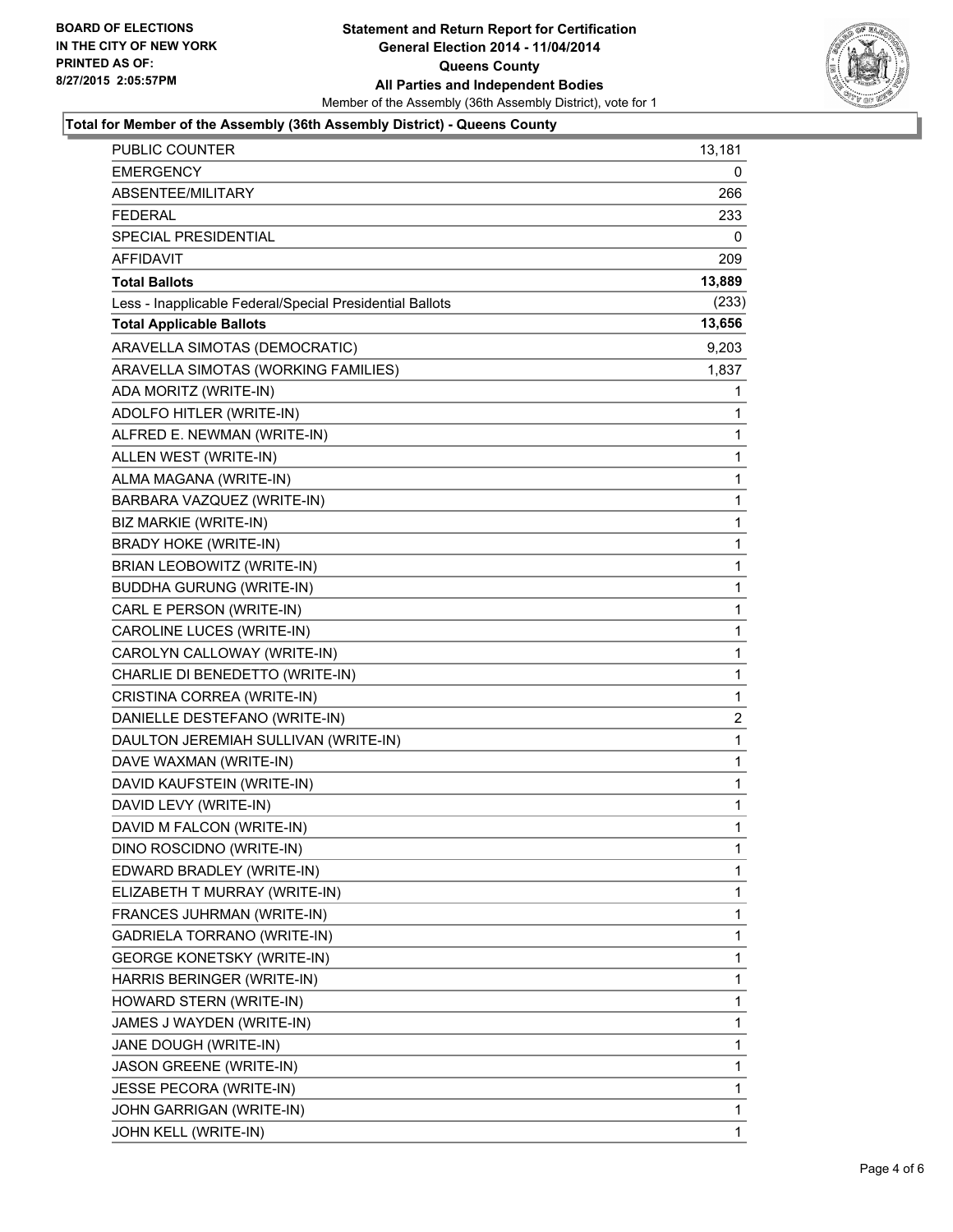

#### **Total for Member of the Assembly (36th Assembly District) - Queens County**

| PUBLIC COUNTER                                           | 13,181                  |
|----------------------------------------------------------|-------------------------|
| <b>EMERGENCY</b>                                         | 0                       |
| ABSENTEE/MILITARY                                        | 266                     |
| <b>FEDERAL</b>                                           | 233                     |
| SPECIAL PRESIDENTIAL                                     | 0                       |
| <b>AFFIDAVIT</b>                                         | 209                     |
| <b>Total Ballots</b>                                     | 13,889                  |
| Less - Inapplicable Federal/Special Presidential Ballots | (233)                   |
| <b>Total Applicable Ballots</b>                          | 13,656                  |
| ARAVELLA SIMOTAS (DEMOCRATIC)                            | 9,203                   |
| ARAVELLA SIMOTAS (WORKING FAMILIES)                      | 1,837                   |
| ADA MORITZ (WRITE-IN)                                    | 1                       |
| ADOLFO HITLER (WRITE-IN)                                 | 1                       |
| ALFRED E. NEWMAN (WRITE-IN)                              | 1                       |
| ALLEN WEST (WRITE-IN)                                    | 1                       |
| ALMA MAGANA (WRITE-IN)                                   | 1                       |
| BARBARA VAZQUEZ (WRITE-IN)                               | $\mathbf 1$             |
| BIZ MARKIE (WRITE-IN)                                    | 1                       |
| <b>BRADY HOKE (WRITE-IN)</b>                             | $\mathbf 1$             |
| BRIAN LEOBOWITZ (WRITE-IN)                               | $\mathbf 1$             |
| <b>BUDDHA GURUNG (WRITE-IN)</b>                          | 1                       |
| CARL E PERSON (WRITE-IN)                                 | 1                       |
| CAROLINE LUCES (WRITE-IN)                                | $\mathbf 1$             |
| CAROLYN CALLOWAY (WRITE-IN)                              | 1                       |
| CHARLIE DI BENEDETTO (WRITE-IN)                          | $\mathbf 1$             |
| CRISTINA CORREA (WRITE-IN)                               | 1                       |
| DANIELLE DESTEFANO (WRITE-IN)                            | $\overline{\mathbf{c}}$ |
| DAULTON JEREMIAH SULLIVAN (WRITE-IN)                     | 1                       |
| DAVE WAXMAN (WRITE-IN)                                   | $\mathbf 1$             |
| DAVID KAUFSTEIN (WRITE-IN)                               | 1                       |
| DAVID LEVY (WRITE-IN)                                    | $\mathbf 1$             |
| DAVID M FALCON (WRITE-IN)                                | $\mathbf{1}$            |
| DINO ROSCIDNO (WRITE-IN)                                 | 1                       |
| EDWARD BRADLEY (WRITE-IN)                                | 1                       |
| ELIZABETH T MURRAY (WRITE-IN)                            | 1                       |
| FRANCES JUHRMAN (WRITE-IN)                               | 1                       |
| GADRIELA TORRANO (WRITE-IN)                              | 1                       |
| <b>GEORGE KONETSKY (WRITE-IN)</b>                        | 1                       |
| HARRIS BERINGER (WRITE-IN)                               | 1                       |
| HOWARD STERN (WRITE-IN)                                  | 1                       |
| JAMES J WAYDEN (WRITE-IN)                                | 1                       |
| JANE DOUGH (WRITE-IN)                                    | 1                       |
| JASON GREENE (WRITE-IN)                                  | 1                       |
| JESSE PECORA (WRITE-IN)                                  | 1                       |
| JOHN GARRIGAN (WRITE-IN)                                 | 1                       |
| JOHN KELL (WRITE-IN)                                     | $\mathbf{1}$            |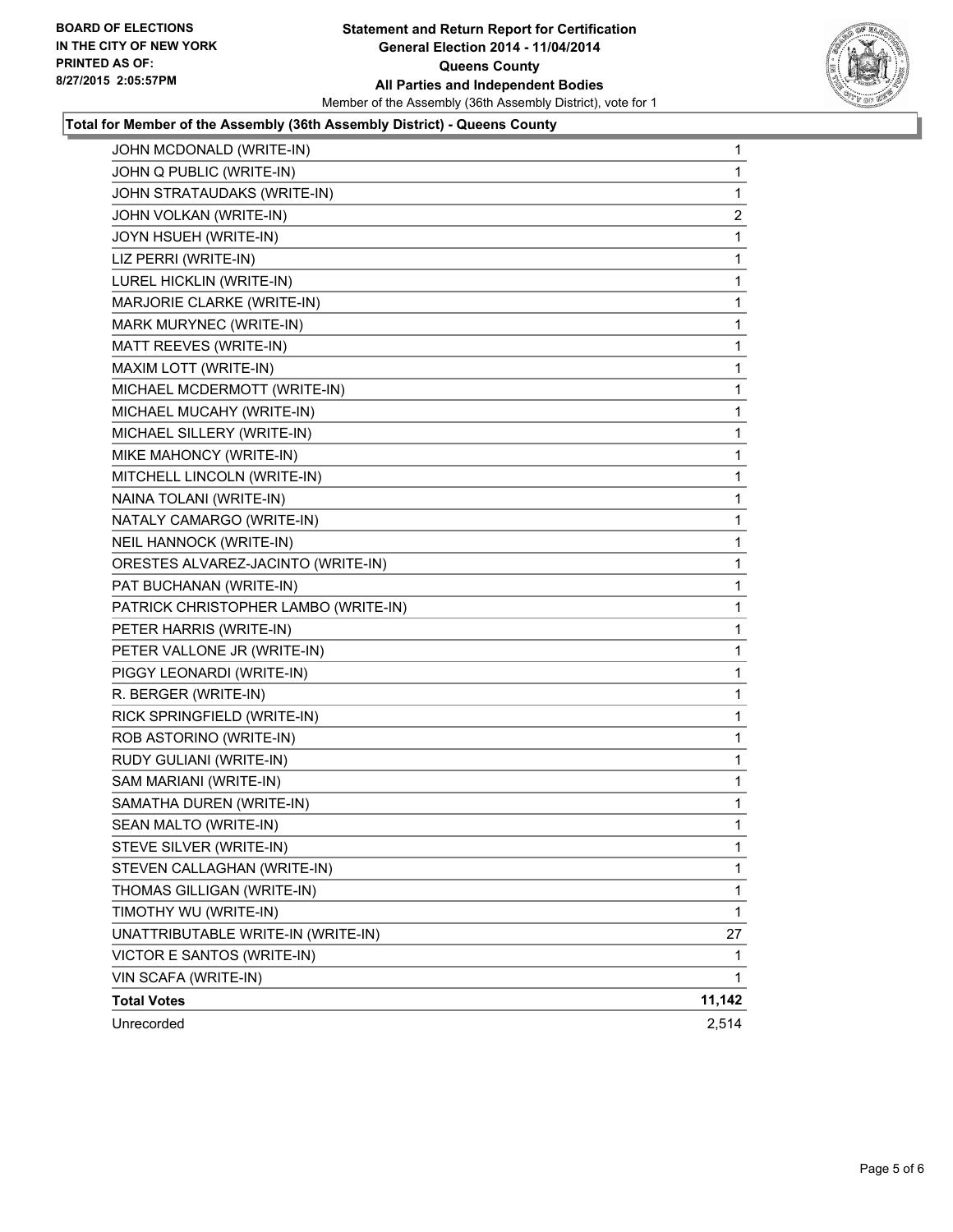

#### **Total for Member of the Assembly (36th Assembly District) - Queens County**

| JOHN MCDONALD (WRITE-IN)             | 1                       |
|--------------------------------------|-------------------------|
| JOHN Q PUBLIC (WRITE-IN)             | 1                       |
| JOHN STRATAUDAKS (WRITE-IN)          | 1                       |
| JOHN VOLKAN (WRITE-IN)               | $\overline{\mathbf{c}}$ |
| JOYN HSUEH (WRITE-IN)                | 1                       |
| LIZ PERRI (WRITE-IN)                 | 1                       |
| LUREL HICKLIN (WRITE-IN)             | 1                       |
| MARJORIE CLARKE (WRITE-IN)           | 1                       |
| MARK MURYNEC (WRITE-IN)              | 1                       |
| MATT REEVES (WRITE-IN)               | 1                       |
| MAXIM LOTT (WRITE-IN)                | 1                       |
| MICHAEL MCDERMOTT (WRITE-IN)         | 1                       |
| MICHAEL MUCAHY (WRITE-IN)            | 1                       |
| MICHAEL SILLERY (WRITE-IN)           | 1                       |
| MIKE MAHONCY (WRITE-IN)              | 1                       |
| MITCHELL LINCOLN (WRITE-IN)          | 1                       |
| NAINA TOLANI (WRITE-IN)              | 1                       |
| NATALY CAMARGO (WRITE-IN)            | 1                       |
| <b>NEIL HANNOCK (WRITE-IN)</b>       | 1                       |
| ORESTES ALVAREZ-JACINTO (WRITE-IN)   | 1                       |
| PAT BUCHANAN (WRITE-IN)              | 1                       |
| PATRICK CHRISTOPHER LAMBO (WRITE-IN) | 1                       |
| PETER HARRIS (WRITE-IN)              | 1                       |
| PETER VALLONE JR (WRITE-IN)          | 1                       |
| PIGGY LEONARDI (WRITE-IN)            | 1                       |
| R. BERGER (WRITE-IN)                 | 1                       |
| RICK SPRINGFIELD (WRITE-IN)          | 1                       |
| ROB ASTORINO (WRITE-IN)              | 1                       |
| RUDY GULIANI (WRITE-IN)              | 1                       |
| SAM MARIANI (WRITE-IN)               | 1                       |
| SAMATHA DUREN (WRITE-IN)             | 1                       |
| SEAN MALTO (WRITE-IN)                | 1                       |
| STEVE SILVER (WRITE-IN)              | 1                       |
| STEVEN CALLAGHAN (WRITE-IN)          | 1                       |
| THOMAS GILLIGAN (WRITE-IN)           | 1                       |
| TIMOTHY WU (WRITE-IN)                | 1                       |
| UNATTRIBUTABLE WRITE-IN (WRITE-IN)   | 27                      |
| VICTOR E SANTOS (WRITE-IN)           | 1                       |
| VIN SCAFA (WRITE-IN)                 | 1                       |
| <b>Total Votes</b>                   | 11,142                  |
| Unrecorded                           | 2,514                   |